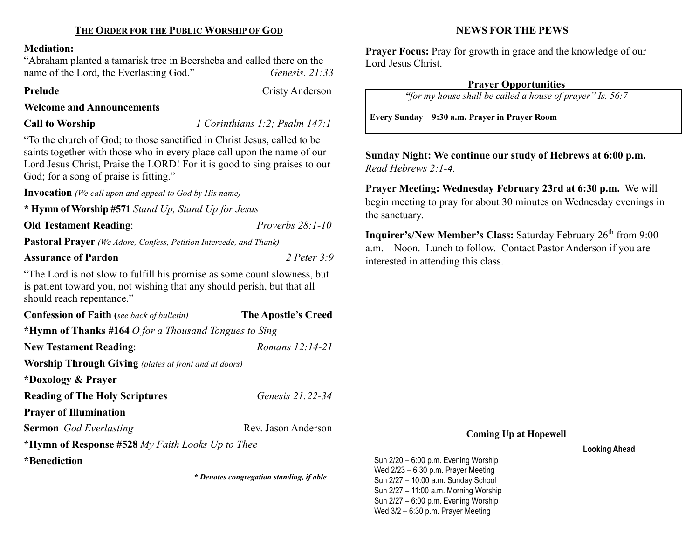# Mediation:

"Abraham planted a tamarisk tree in Beersheba and called there on the name of the Lord, the Everlasting God." Genesis. 21:33

Prelude Cristy Anderson

# Welcome and Announcements

Call to Worship 1 Corinthians 1:2; Psalm 147:1

"To the church of God; to those sanctified in Christ Jesus, called to be saints together with those who in every place call upon the name of our Lord Jesus Christ, Praise the LORD! For it is good to sing praises to our God; for a song of praise is fitting."

Invocation (We call upon and appeal to God by His name)

\* Hymn of Worship #571 Stand Up, Stand Up for Jesus

Old Testament Reading: Proverbs 28:1-10

Pastoral Prayer (We Adore, Confess, Petition Intercede, and Thank)

# Assurance of Pardon 2 Peter 3:9

"The Lord is not slow to fulfill his promise as some count slowness, but is patient toward you, not wishing that any should perish, but that all should reach repentance."

| <b>Confession of Faith</b> (see back of bulletin)            | The Apostle's Creed |  |  |  |
|--------------------------------------------------------------|---------------------|--|--|--|
| <b>*Hymn of Thanks #164</b> O for a Thousand Tongues to Sing |                     |  |  |  |
| <b>New Testament Reading:</b>                                | Romans $12:14-21$   |  |  |  |
| <b>Worship Through Giving</b> (plates at front and at doors) |                     |  |  |  |
| *Doxology & Prayer                                           |                     |  |  |  |
| <b>Reading of The Holy Scriptures</b>                        | Genesis $21:22-34$  |  |  |  |
| <b>Prayer of Illumination</b>                                |                     |  |  |  |
| <b>Sermon</b> God Everlasting                                | Rev. Jason Anderson |  |  |  |
| *Hymn of Response #528 My Faith Looks Up to Thee             |                     |  |  |  |
| *Benediction                                                 |                     |  |  |  |
|                                                              |                     |  |  |  |

\* Denotes congregation standing, if able

NEWS FOR THE PEWS

Prayer Focus: Pray for growth in grace and the knowledge of our Lord Jesus Christ.

# Prayer Opportunities

"for my house shall be called a house of prayer" Is. 56:7

Every Sunday – 9:30 a.m. Prayer in Prayer Room

Sunday Night: We continue our study of Hebrews at 6:00 p.m. Read Hebrews 2:1-4.

Prayer Meeting: Wednesday February 23rd at 6:30 p.m. We will begin meeting to pray for about 30 minutes on Wednesday evenings in the sanctuary.

Inquirer's/New Member's Class: Saturday February 26<sup>th</sup> from 9:00 a.m. – Noon. Lunch to follow. Contact Pastor Anderson if you are interested in attending this class.

### Coming Up at Hopewell

Looking Ahead

Sun 2/20 – 6:00 p.m. Evening Worship Wed 2/23 – 6:30 p.m. Prayer Meeting Sun 2/27 – 10:00 a.m. Sunday School Sun 2/27 – 11:00 a.m. Morning Worship Sun 2/27 – 6:00 p.m. Evening Worship Wed 3/2 – 6:30 p.m. Prayer Meeting